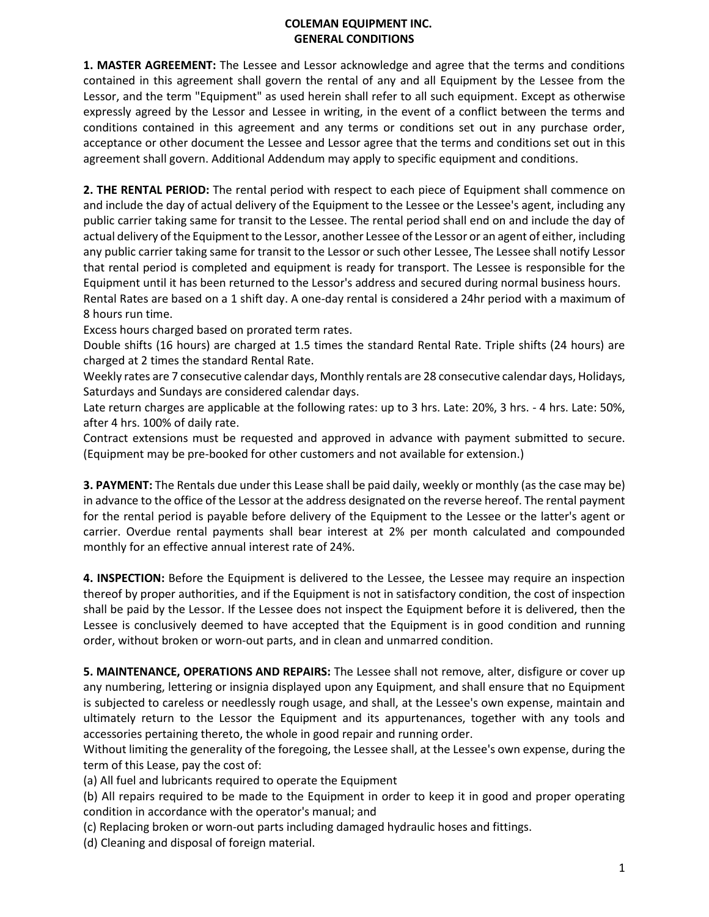## **COLEMAN EQUIPMENT INC. GENERAL CONDITIONS**

**1. MASTER AGREEMENT:** The Lessee and Lessor acknowledge and agree that the terms and conditions contained in this agreement shall govern the rental of any and all Equipment by the Lessee from the Lessor, and the term "Equipment" as used herein shall refer to all such equipment. Except as otherwise expressly agreed by the Lessor and Lessee in writing, in the event of a conflict between the terms and conditions contained in this agreement and any terms or conditions set out in any purchase order, acceptance or other document the Lessee and Lessor agree that the terms and conditions set out in this agreement shall govern. Additional Addendum may apply to specific equipment and conditions.

**2. THE RENTAL PERIOD:** The rental period with respect to each piece of Equipment shall commence on and include the day of actual delivery of the Equipment to the Lessee or the Lessee's agent, including any public carrier taking same for transit to the Lessee. The rental period shall end on and include the day of actual delivery of the Equipment to the Lessor, another Lessee of the Lessor or an agent of either, including any public carrier taking same for transit to the Lessor or such other Lessee, The Lessee shall notify Lessor that rental period is completed and equipment is ready for transport. The Lessee is responsible for the Equipment until it has been returned to the Lessor's address and secured during normal business hours. Rental Rates are based on a 1 shift day. A one-day rental is considered a 24hr period with a maximum of 8 hours run time.

Excess hours charged based on prorated term rates.

Double shifts (16 hours) are charged at 1.5 times the standard Rental Rate. Triple shifts (24 hours) are charged at 2 times the standard Rental Rate.

Weekly rates are 7 consecutive calendar days, Monthly rentals are 28 consecutive calendar days, Holidays, Saturdays and Sundays are considered calendar days.

Late return charges are applicable at the following rates: up to 3 hrs. Late: 20%, 3 hrs. - 4 hrs. Late: 50%, after 4 hrs. 100% of daily rate.

Contract extensions must be requested and approved in advance with payment submitted to secure. (Equipment may be pre-booked for other customers and not available for extension.)

**3. PAYMENT:** The Rentals due under this Lease shall be paid daily, weekly or monthly (as the case may be) in advance to the office of the Lessor at the address designated on the reverse hereof. The rental payment for the rental period is payable before delivery of the Equipment to the Lessee or the latter's agent or carrier. Overdue rental payments shall bear interest at 2% per month calculated and compounded monthly for an effective annual interest rate of 24%.

**4. INSPECTION:** Before the Equipment is delivered to the Lessee, the Lessee may require an inspection thereof by proper authorities, and if the Equipment is not in satisfactory condition, the cost of inspection shall be paid by the Lessor. If the Lessee does not inspect the Equipment before it is delivered, then the Lessee is conclusively deemed to have accepted that the Equipment is in good condition and running order, without broken or worn-out parts, and in clean and unmarred condition.

**5. MAINTENANCE, OPERATIONS AND REPAIRS:** The Lessee shall not remove, alter, disfigure or cover up any numbering, lettering or insignia displayed upon any Equipment, and shall ensure that no Equipment is subjected to careless or needlessly rough usage, and shall, at the Lessee's own expense, maintain and ultimately return to the Lessor the Equipment and its appurtenances, together with any tools and accessories pertaining thereto, the whole in good repair and running order.

Without limiting the generality of the foregoing, the Lessee shall, at the Lessee's own expense, during the term of this Lease, pay the cost of:

(a) All fuel and lubricants required to operate the Equipment

(b) All repairs required to be made to the Equipment in order to keep it in good and proper operating condition in accordance with the operator's manual; and

(c) Replacing broken or worn-out parts including damaged hydraulic hoses and fittings.

(d) Cleaning and disposal of foreign material.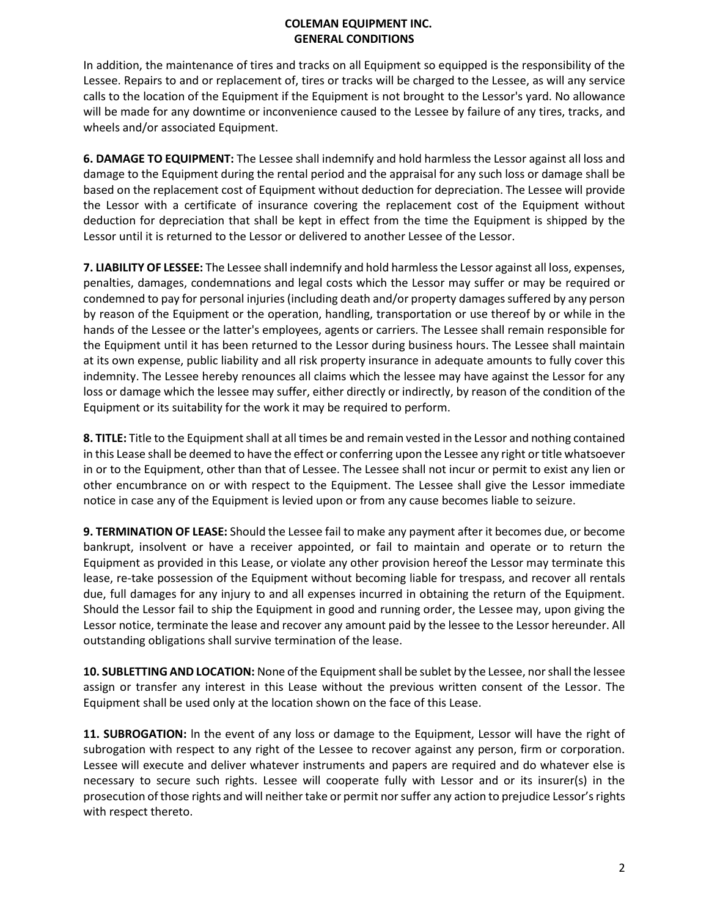## **COLEMAN EQUIPMENT INC. GENERAL CONDITIONS**

In addition, the maintenance of tires and tracks on all Equipment so equipped is the responsibility of the Lessee. Repairs to and or replacement of, tires or tracks will be charged to the Lessee, as will any service calls to the location of the Equipment if the Equipment is not brought to the Lessor's yard. No allowance will be made for any downtime or inconvenience caused to the Lessee by failure of any tires, tracks, and wheels and/or associated Equipment.

**6. DAMAGE TO EQUIPMENT:** The Lessee shall indemnify and hold harmless the Lessor against all loss and damage to the Equipment during the rental period and the appraisal for any such loss or damage shall be based on the replacement cost of Equipment without deduction for depreciation. The Lessee will provide the Lessor with a certificate of insurance covering the replacement cost of the Equipment without deduction for depreciation that shall be kept in effect from the time the Equipment is shipped by the Lessor until it is returned to the Lessor or delivered to another Lessee of the Lessor.

**7. LIABILITY OF LESSEE:** The Lessee shall indemnify and hold harmless the Lessor against all loss, expenses, penalties, damages, condemnations and legal costs which the Lessor may suffer or may be required or condemned to pay for personal injuries (including death and/or property damages suffered by any person by reason of the Equipment or the operation, handling, transportation or use thereof by or while in the hands of the Lessee or the latter's employees, agents or carriers. The Lessee shall remain responsible for the Equipment until it has been returned to the Lessor during business hours. The Lessee shall maintain at its own expense, public liability and all risk property insurance in adequate amounts to fully cover this indemnity. The Lessee hereby renounces all claims which the lessee may have against the Lessor for any loss or damage which the lessee may suffer, either directly or indirectly, by reason of the condition of the Equipment or its suitability for the work it may be required to perform.

**8. TITLE:** Title to the Equipment shall at all times be and remain vested in the Lessor and nothing contained in this Lease shall be deemed to have the effect or conferring upon the Lessee any right or title whatsoever in or to the Equipment, other than that of Lessee. The Lessee shall not incur or permit to exist any lien or other encumbrance on or with respect to the Equipment. The Lessee shall give the Lessor immediate notice in case any of the Equipment is levied upon or from any cause becomes liable to seizure.

**9. TERMINATION OF LEASE:** Should the Lessee fail to make any payment after it becomes due, or become bankrupt, insolvent or have a receiver appointed, or fail to maintain and operate or to return the Equipment as provided in this Lease, or violate any other provision hereof the Lessor may terminate this lease, re-take possession of the Equipment without becoming liable for trespass, and recover all rentals due, full damages for any injury to and all expenses incurred in obtaining the return of the Equipment. Should the Lessor fail to ship the Equipment in good and running order, the Lessee may, upon giving the Lessor notice, terminate the lease and recover any amount paid by the lessee to the Lessor hereunder. All outstanding obligations shall survive termination of the lease.

**10. SUBLETTING AND LOCATION:** None of the Equipment shall be sublet by the Lessee, nor shall the lessee assign or transfer any interest in this Lease without the previous written consent of the Lessor. The Equipment shall be used only at the location shown on the face of this Lease.

**11. SUBROGATION:** ln the event of any loss or damage to the Equipment, Lessor will have the right of subrogation with respect to any right of the Lessee to recover against any person, firm or corporation. Lessee will execute and deliver whatever instruments and papers are required and do whatever else is necessary to secure such rights. Lessee will cooperate fully with Lessor and or its insurer(s) in the prosecution of those rights and will neither take or permit nor suffer any action to prejudice Lessor's rights with respect thereto.